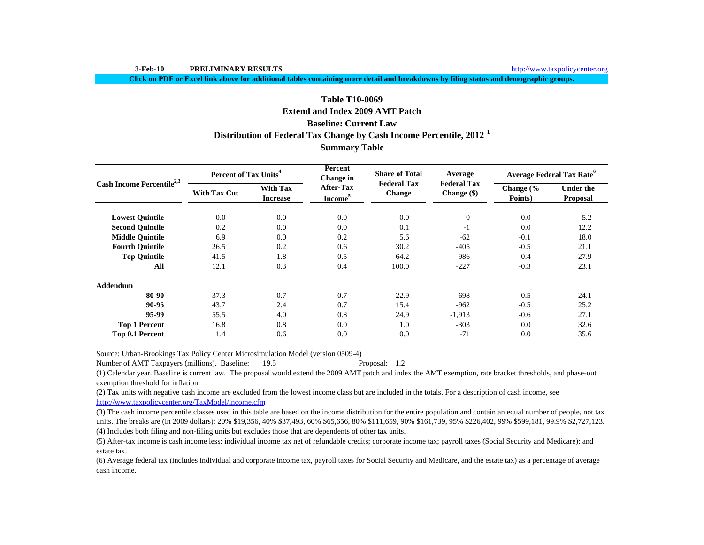**3-Feb-10 PRELIMINARY RESULTS**

http://www.taxpolicycenter.org

**Click on PDF or Excel link above for additional tables containing more detail and breakdowns by filing status and demographic groups.**

# **Table T10-0069**

# **Extend and Index 2009 AMT Patch**

# **Baseline: Current Law**

# **Distribution of Federal Tax Change by Cash Income Percentile, 2012 <sup>1</sup>**

# **Summary Table**

| Cash Income Percentile <sup>2,3</sup> | Percent of Tax Units <sup>4</sup> |                                    | Percent<br>Change in                    | <b>Share of Total</b>               | Average                             | <b>Average Federal Tax Rate<sup>6</sup></b> |                                     |  |
|---------------------------------------|-----------------------------------|------------------------------------|-----------------------------------------|-------------------------------------|-------------------------------------|---------------------------------------------|-------------------------------------|--|
|                                       | <b>With Tax Cut</b>               | <b>With Tax</b><br><b>Increase</b> | <b>After-Tax</b><br>Income <sup>5</sup> | <b>Federal Tax</b><br><b>Change</b> | <b>Federal Tax</b><br>Change $(\$)$ | Change $\frac{6}{6}$<br>Points)             | <b>Under the</b><br><b>Proposal</b> |  |
| <b>Lowest Ouintile</b>                | 0.0                               | 0.0                                | 0.0                                     | 0.0                                 | $\mathbf{0}$                        | 0.0                                         | 5.2                                 |  |
| <b>Second Quintile</b>                | 0.2                               | 0.0                                | 0.0                                     | 0.1                                 | $-1$                                | 0.0                                         | 12.2                                |  |
| <b>Middle Quintile</b>                | 6.9                               | 0.0                                | 0.2                                     | 5.6                                 | $-62$                               | $-0.1$                                      | 18.0                                |  |
| <b>Fourth Quintile</b>                | 26.5                              | 0.2                                | 0.6                                     | 30.2                                | $-405$                              | $-0.5$                                      | 21.1                                |  |
| <b>Top Quintile</b>                   | 41.5                              | 1.8                                | 0.5                                     | 64.2                                | -986                                | $-0.4$                                      | 27.9                                |  |
| All                                   | 12.1                              | 0.3                                | 0.4                                     | 100.0                               | $-227$                              | $-0.3$                                      | 23.1                                |  |
| <b>Addendum</b>                       |                                   |                                    |                                         |                                     |                                     |                                             |                                     |  |
| 80-90                                 | 37.3                              | 0.7                                | 0.7                                     | 22.9                                | $-698$                              | $-0.5$                                      | 24.1                                |  |
| 90-95                                 | 43.7                              | 2.4                                | 0.7                                     | 15.4                                | $-962$                              | $-0.5$                                      | 25.2                                |  |
| 95-99                                 | 55.5                              | 4.0                                | 0.8                                     | 24.9                                | $-1,913$                            | $-0.6$                                      | 27.1                                |  |
| <b>Top 1 Percent</b>                  | 16.8                              | 0.8                                | 0.0                                     | 1.0                                 | $-303$                              | 0.0                                         | 32.6                                |  |
| Top 0.1 Percent                       | 11.4                              | 0.6                                | 0.0                                     | 0.0                                 | $-71$                               | 0.0                                         | 35.6                                |  |

Source: Urban-Brookings Tax Policy Center Microsimulation Model (version 0509-4)

Number of AMT Taxpayers (millions). Baseline: 19.5 Proposal: 1.2

(1) Calendar year. Baseline is current law. The proposal would extend the 2009 AMT patch and index the AMT exemption, rate bracket thresholds, and phase-out exemption threshold for inflation.

(2) Tax units with negative cash income are excluded from the lowest income class but are included in the totals. For a description of cash income, see http://www.taxpolicycenter.org/TaxModel/income.cfm

(4) Includes both filing and non-filing units but excludes those that are dependents of other tax units. (3) The cash income percentile classes used in this table are based on the income distribution for the entire population and contain an equal number of people, not tax units. The breaks are (in 2009 dollars): 20% \$19,356, 40% \$37,493, 60% \$65,656, 80% \$111,659, 90% \$161,739, 95% \$226,402, 99% \$599,181, 99.9% \$2,727,123.

(5) After-tax income is cash income less: individual income tax net of refundable credits; corporate income tax; payroll taxes (Social Security and Medicare); and estate tax.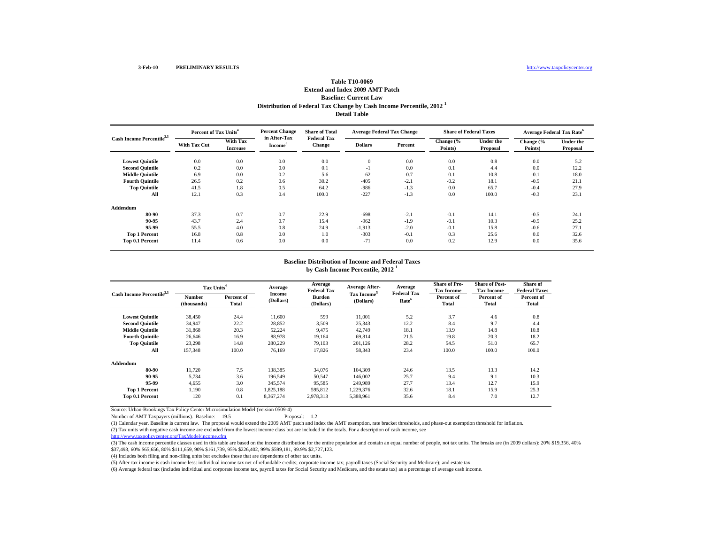## **Distribution of Federal Tax Change by Cash Income Percentile, 2012 <sup>1</sup> Detail TableTable T10-0069Extend and Index 2009 AMT PatchBaseline: Current Law**

| Cash Income Percentile <sup>2,3</sup> | Percent of Tax Units <sup>4</sup> |                                    | <b>Percent Change</b>               | <b>Share of Total</b>               | <b>Average Federal Tax Change</b> |         | <b>Share of Federal Taxes</b> |                       | <b>Average Federal Tax Rate<sup>6</sup></b> |                       |
|---------------------------------------|-----------------------------------|------------------------------------|-------------------------------------|-------------------------------------|-----------------------------------|---------|-------------------------------|-----------------------|---------------------------------------------|-----------------------|
|                                       | <b>With Tax Cut</b>               | <b>With Tax</b><br><b>Increase</b> | in After-Tax<br>Income <sup>5</sup> | <b>Federal Tax</b><br><b>Change</b> | <b>Dollars</b>                    | Percent | Change (%<br>Points)          | Under the<br>Proposal | Change (%<br>Points)                        | Under the<br>Proposal |
| <b>Lowest Quintile</b>                | 0.0                               | 0.0                                | 0.0                                 | 0.0                                 | $\mathbf{0}$                      | 0.0     | 0.0                           | 0.8                   | 0.0                                         | 5.2                   |
| <b>Second Quintile</b>                | 0.2                               | 0.0                                | 0.0                                 | 0.1                                 | $-1$                              | 0.0     | 0.1                           | 4.4                   | 0.0                                         | 12.2                  |
| <b>Middle Quintile</b>                | 6.9                               | 0.0                                | 0.2                                 | 5.6                                 | $-62$                             | $-0.7$  | 0.1                           | 10.8                  | $-0.1$                                      | 18.0                  |
| <b>Fourth Quintile</b>                | 26.5                              | 0.2                                | 0.6                                 | 30.2                                | $-405$                            | $-2.1$  | $-0.2$                        | 18.1                  | $-0.5$                                      | 21.1                  |
| <b>Top Quintile</b>                   | 41.5                              | 1.8                                | 0.5                                 | 64.2                                | $-986$                            | $-1.3$  | 0.0                           | 65.7                  | $-0.4$                                      | 27.9                  |
| All                                   | 12.1                              | 0.3                                | 0.4                                 | 100.0                               | $-227$                            | $-1.3$  | 0.0                           | 100.0                 | $-0.3$                                      | 23.1                  |
| Addendum                              |                                   |                                    |                                     |                                     |                                   |         |                               |                       |                                             |                       |
| 80-90                                 | 37.3                              | 0.7                                | 0.7                                 | 22.9                                | $-698$                            | $-2.1$  | $-0.1$                        | 14.1                  | $-0.5$                                      | 24.1                  |
| 90-95                                 | 43.7                              | 2.4                                | 0.7                                 | 15.4                                | $-962$                            | $-1.9$  | $-0.1$                        | 10.3                  | $-0.5$                                      | 25.2                  |
| 95-99                                 | 55.5                              | 4.0                                | 0.8                                 | 24.9                                | $-1,913$                          | $-2.0$  | $-0.1$                        | 15.8                  | $-0.6$                                      | 27.1                  |
| <b>Top 1 Percent</b>                  | 16.8                              | 0.8                                | 0.0                                 | 1.0                                 | $-303$                            | $-0.1$  | 0.3                           | 25.6                  | 0.0                                         | 32.6                  |
| Top 0.1 Percent                       | 11.4                              | 0.6                                | 0.0                                 | 0.0                                 | $-71$                             | 0.0     | 0.2                           | 12.9                  | 0.0                                         | 35.6                  |

#### **by Cash Income Percentile, 2012 <sup>1</sup> Baseline Distribution of Income and Federal Taxes**

| Cash Income Percentile <sup>2,3</sup> |                       | Tax Units <sup>4</sup> |                            | Average<br><b>Federal Tax</b> | <b>Average After-</b>   | Average<br><b>Federal Tax</b> | <b>Share of Pre-</b><br><b>Tax Income</b> | <b>Share of Post-</b><br><b>Tax Income</b> | Share of<br><b>Federal Taxes</b> |
|---------------------------------------|-----------------------|------------------------|----------------------------|-------------------------------|-------------------------|-------------------------------|-------------------------------------------|--------------------------------------------|----------------------------------|
|                                       | Number<br>(thousands) | Percent of<br>Total    | <b>Income</b><br>(Dollars) | <b>Burden</b><br>(Dollars)    | Tax Income<br>(Dollars) | Rate <sup>6</sup>             | Percent of<br><b>Total</b>                | Percent of<br>Total                        | Percent of<br>Total              |
| <b>Lowest Ouintile</b>                | 38.450                | 24.4                   | 11,600                     | 599                           | 11,001                  | 5.2                           | 3.7                                       | 4.6                                        | 0.8                              |
| <b>Second Quintile</b>                | 34,947                | 22.2                   | 28,852                     | 3,509                         | 25,343                  | 12.2                          | 8.4                                       | 9.7                                        | 4.4                              |
| <b>Middle Quintile</b>                | 31,868                | 20.3                   | 52,224                     | 9.475                         | 42,749                  | 18.1                          | 13.9                                      | 14.8                                       | 10.8                             |
| <b>Fourth Ouintile</b>                | 26.646                | 16.9                   | 88,978                     | 19.164                        | 69,814                  | 21.5                          | 19.8                                      | 20.3                                       | 18.2                             |
| <b>Top Quintile</b>                   | 23,298                | 14.8                   | 280,229                    | 79.103                        | 201.126                 | 28.2                          | 54.5                                      | 51.0                                       | 65.7                             |
| All                                   | 157,348               | 100.0                  | 76,169                     | 17,826                        | 58,343                  | 23.4                          | 100.0                                     | 100.0                                      | 100.0                            |
| Addendum                              |                       |                        |                            |                               |                         |                               |                                           |                                            |                                  |
| 80-90                                 | 11.720                | 7.5                    | 138,385                    | 34,076                        | 104,309                 | 24.6                          | 13.5                                      | 13.3                                       | 14.2                             |
| 90-95                                 | 5,734                 | 3.6                    | 196,549                    | 50,547                        | 146,002                 | 25.7                          | 9.4                                       | 9.1                                        | 10.3                             |
| 95-99                                 | 4,655                 | 3.0                    | 345,574                    | 95,585                        | 249.989                 | 27.7                          | 13.4                                      | 12.7                                       | 15.9                             |
| <b>Top 1 Percent</b>                  | 1,190                 | 0.8                    | 1,825,188                  | 595,812                       | ,229,376                | 32.6                          | 18.1                                      | 15.9                                       | 25.3                             |
| Top 0.1 Percent                       | 120                   | 0.1                    | 8,367,274                  | 2,978,313                     | 5,388,961               | 35.6                          | 8.4                                       | 7.0                                        | 12.7                             |

Source: Urban-Brookings Tax Policy Center Microsimulation Model (version 0509-4)

Number of AMT Taxpayers (millions). Baseline: 19.5 Proposal: 1.2

(1) Calendar year. Baseline is current law. The proposal would extend the 2009 AMT patch and index the AMT exemption, rate bracket thresholds, and phase-out exemption threshold for inflation.

(2) Tax units with negative cash income are excluded from the lowest income class but are included in the totals. For a description of cash income, see

http://www.taxpolicycenter.org/TaxModel/income.cfm

(3) The cash income percentile classes used in this table are based on the income distribution for the entire population and contain an equal number of people, not tax units. The breaks are (in 2009 dollars): 20% \$19,356, \$37,493, 60% \$65,656, 80% \$111,659, 90% \$161,739, 95% \$226,402, 99% \$599,181, 99.9% \$2,727,123.

(4) Includes both filing and non-filing units but excludes those that are dependents of other tax units.

(5) After-tax income is cash income less: individual income tax net of refundable credits; corporate income tax; payroll taxes (Social Security and Medicare); and estate tax.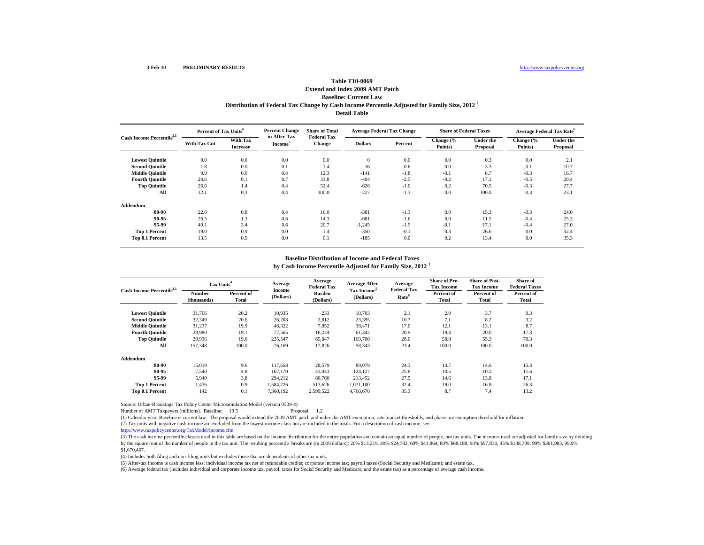## **Distribution of Federal Tax Change by Cash Income Percentile Adjusted for Family Size, 2012 1 Detail Table Table T10-0069Extend and Index 2009 AMT PatchBaseline: Current Law**

| Cash Income Percentile <sup>2,3</sup> | Percent of Tax Units <sup>4</sup> |                             | <b>Percent Change</b><br>in After-Tax | <b>Share of Total</b>               | <b>Average Federal Tax Change</b> |         | <b>Share of Federal Taxes</b> |                              | <b>Average Federal Tax Rate</b> <sup>o</sup> |                              |
|---------------------------------------|-----------------------------------|-----------------------------|---------------------------------------|-------------------------------------|-----------------------------------|---------|-------------------------------|------------------------------|----------------------------------------------|------------------------------|
|                                       | <b>With Tax Cut</b>               | With Tax<br><b>Increase</b> | Income <sup>5</sup>                   | <b>Federal Tax</b><br><b>Change</b> | <b>Dollars</b>                    | Percent | Change (%<br>Points)          | <b>Under the</b><br>Proposal | Change (%<br>Points)                         | <b>Under the</b><br>Proposal |
| <b>Lowest Ouintile</b>                | 0.0                               | 0.0                         | 0.0                                   | 0.0                                 | $\mathbf{0}$                      | 0.0     | 0.0                           | 0.3                          | 0.0                                          | 2.1                          |
| <b>Second Quintile</b>                | 1.8                               | 0.0                         | 0.1                                   | 1.4                                 | $-16$                             | $-0.6$  | 0.0                           | 3.3                          | $-0.1$                                       | 10.7                         |
| <b>Middle Ouintile</b>                | 9.9                               | 0.0                         | 0.4                                   | 12.3                                | $-141$                            | $-1.8$  | $-0.1$                        | 8.7                          | $-0.3$                                       | 16.7                         |
| <b>Fourth Quintile</b>                | 24.6                              | 0.1                         | 0.7                                   | 33.8                                | $-404$                            | $-2.5$  | $-0.2$                        | 17.1                         | $-0.5$                                       | 20.4                         |
| <b>Top Quintile</b>                   | 26.6                              | 1.4                         | 0.4                                   | 52.4                                | $-626$                            | $-1.0$  | 0.2                           | 70.5                         | $-0.3$                                       | 27.7                         |
| All                                   | 12.1                              | 0.3                         | 0.4                                   | 100.0                               | $-227$                            | $-1.3$  | 0.0                           | 100.0                        | $-0.3$                                       | 23.1                         |
| Addendum                              |                                   |                             |                                       |                                     |                                   |         |                               |                              |                                              |                              |
| 80-90                                 | 22.0                              | 0.8                         | 0.4                                   | 16.0                                | $-381$                            | $-1.3$  | 0.0                           | 15.3                         | $-0.3$                                       | 24.0                         |
| 90-95                                 | 26.5                              | 1.3                         | 0.6                                   | 14.3                                | $-681$                            | $-1.6$  | 0.0                           | 11.5                         | $-0.4$                                       | 25.3                         |
| 95-99                                 | 40.1                              | 3.4                         | 0.6                                   | 20.7                                | $-1,245$                          | $-1.5$  | $-0.1$                        | 17.1                         | $-0.4$                                       | 27.0                         |
| <b>Top 1 Percent</b>                  | 19.0                              | 0.9                         | 0.0                                   | 1.4                                 | $-350$                            | $-0.1$  | 0.3                           | 26.6                         | 0.0                                          | 32.4                         |
| Top 0.1 Percent                       | 13.5                              | 0.9                         | 0.0                                   | 0.1                                 | $-185$                            | 0.0     | 0.2                           | 13.4                         | 0.0                                          | 35.3                         |

### **Baseline Distribution of Income and Federal Taxes**

**by Cash Income Percentile Adjusted for Family Size, 2012 <sup>1</sup>**

| Cash Income Percentile <sup>2,3</sup> |                              | Tax Units <sup>4</sup> |                     | Average<br>Federal Tax     | Average After-                       | Average<br><b>Federal Tax</b> | <b>Share of Pre-</b><br><b>Tax Income</b> | <b>Share of Post-</b><br><b>Tax Income</b> | Share of<br><b>Federal Taxes</b> |
|---------------------------------------|------------------------------|------------------------|---------------------|----------------------------|--------------------------------------|-------------------------------|-------------------------------------------|--------------------------------------------|----------------------------------|
|                                       | <b>Number</b><br>(thousands) | Percent of<br>Total    | Income<br>(Dollars) | <b>Burden</b><br>(Dollars) | Tax Income <sup>5</sup><br>(Dollars) | Rate <sup>6</sup>             | Percent of<br>Total                       | Percent of<br>Total                        | Percent of<br><b>Total</b>       |
| <b>Lowest Quintile</b>                | 31,706                       | 20.2                   | 10.935              | 233                        | 10.703                               | 2.1                           | 2.9                                       | 3.7                                        | 0.3                              |
| <b>Second Quintile</b>                | 32,349                       | 20.6                   | 26,208              | 2,812                      | 23,395                               | 10.7                          | 7.1                                       | 8.2                                        | 3.2                              |
| <b>Middle Quintile</b>                | 31,237                       | 19.9                   | 46,322              | 7,852                      | 38,471                               | 17.0                          | 12.1                                      | 13.1                                       | 8.7                              |
| <b>Fourth Quintile</b>                | 29,980                       | 19.1                   | 77,565              | 16,224                     | 61,342                               | 20.9                          | 19.4                                      | 20.0                                       | 17.3                             |
| <b>Top Quintile</b>                   | 29.936                       | 19.0                   | 235,547             | 65.847                     | 169.700                              | 28.0                          | 58.8                                      | 55.3                                       | 70.3                             |
| All                                   | 157,348                      | 100.0                  | 76,169              | 17,826                     | 58,343                               | 23.4                          | 100.0                                     | 100.0                                      | 100.0                            |
| Addendum                              |                              |                        |                     |                            |                                      |                               |                                           |                                            |                                  |
| 80-90                                 | 15.019                       | 9.6                    | 117.658             | 28,579                     | 89,079                               | 24.3                          | 14.7                                      | 14.6                                       | 15.3                             |
| 90-95                                 | 7,540                        | 4.8                    | 167,170             | 43,043                     | 124,127                              | 25.8                          | 10.5                                      | 10.2                                       | 11.6                             |
| 95-99                                 | 5.940                        | 3.8                    | 294,212             | 80,760                     | 213.452                              | 27.5                          | 14.6                                      | 13.8                                       | 17.1                             |
| <b>Top 1 Percent</b>                  | 1,436                        | 0.9                    | 1,584,726           | 513,626                    | 1,071,100                            | 32.4                          | 19.0                                      | 16.8                                       | 26.3                             |
| Top 0.1 Percent                       | 142                          | 0.1                    | 7,360,192           | 2,599,522                  | 4,760,670                            | 35.3                          | 8.7                                       | 7.4                                        | 13.2                             |

Source: Urban-Brookings Tax Policy Center Microsimulation Model (version 0509-4) Number of AMT Taxpayers (millions). Baseline: 19.5

(1) Calendar year. Baseline is current law. The proposal would extend the 2009 AMT patch and index the AMT exemption, rate bracket thresholds, and phase-out exemption threshold for inflation.

(2) Tax units with negative cash income are excluded from the lowest income class but are included in the totals. For a description of cash income, see

http://www.taxpolicycenter.org/TaxModel/income.cfm

(3) The cash income percentile classes used in this table are based on the income distribution for the entire population and contain an equal number of people, not tax units. The incomes used are adjusted for family size b by the square root of the number of people in the tax unit. The resulting percentile breaks are (in 2009 dollars): 20% \$13,219, 40% \$24,782, 60% \$41,864, 80% \$68,188, 90% \$97,830, 95% \$138,709, 99% \$361,983, 99.9% \$1,670,467.

(4) Includes both filing and non-filing units but excludes those that are dependents of other tax units.

(5) After-tax income is cash income less: individual income tax net of refundable credits; corporate income tax; payroll taxes (Social Security and Medicare); and estate tax.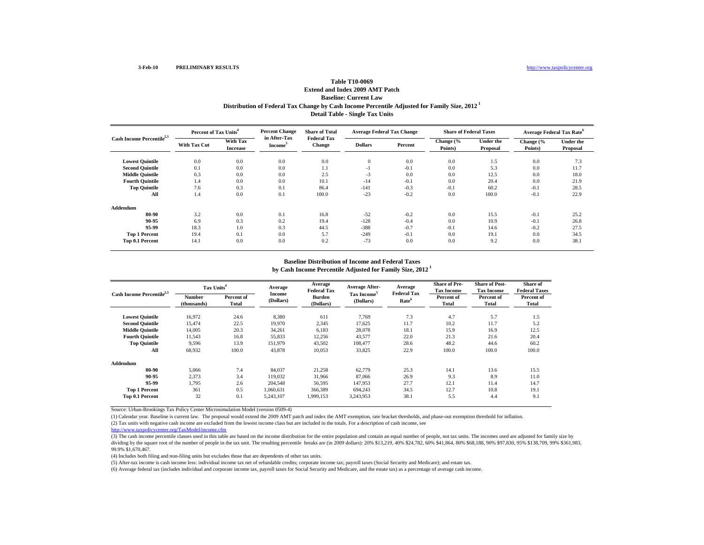## **Table T10-0069**

### **Distribution of Federal Tax Change by Cash Income Percentile Adjusted for Family Size, 2012 1 Detail Table - Single Tax Units Extend and Index 2009 AMT PatchBaseline: Current Law**

| Cash Income Percentile <sup>2,3</sup> | Percent of Tax Units <sup>4</sup> |                                    | <b>Percent Change</b>               | <b>Share of Total</b>        | <b>Average Federal Tax Change</b> |         | <b>Share of Federal Taxes</b> |                       | <b>Average Federal Tax Rate<sup>6</sup></b> |                       |
|---------------------------------------|-----------------------------------|------------------------------------|-------------------------------------|------------------------------|-----------------------------------|---------|-------------------------------|-----------------------|---------------------------------------------|-----------------------|
|                                       | <b>With Tax Cut</b>               | <b>With Tax</b><br><b>Increase</b> | in After-Tax<br>Income <sup>5</sup> | <b>Federal Tax</b><br>Change | <b>Dollars</b>                    | Percent | Change (%<br>Points)          | Under the<br>Proposal | Change (%<br>Points)                        | Under the<br>Proposal |
| <b>Lowest Quintile</b>                | 0.0                               | 0.0                                | 0.0                                 | 0.0                          | $\mathbf{0}$                      | 0.0     | 0.0                           | 1.5                   | 0.0                                         | 7.3                   |
| <b>Second Quintile</b>                | 0.1                               | 0.0                                | 0.0                                 | 1.1                          | $-1$                              | $-0.1$  | 0.0                           | 5.3                   | 0.0                                         | 11.7                  |
| <b>Middle Quintile</b>                | 0.3                               | 0.0                                | 0.0                                 | 2.5                          | $-3$                              | 0.0     | 0.0                           | 12.5                  | 0.0                                         | 18.0                  |
| <b>Fourth Quintile</b>                | 1.4                               | 0.0                                | 0.0                                 | 10.1                         | $-14$                             | $-0.1$  | 0.0                           | 20.4                  | 0.0                                         | 21.9                  |
| <b>Top Quintile</b>                   | 7.6                               | 0.3                                | 0.1                                 | 86.4                         | $-141$                            | $-0.3$  | $-0.1$                        | 60.2                  | $-0.1$                                      | 28.5                  |
| All                                   | 1.4                               | 0.0                                | 0.1                                 | 100.0                        | $-23$                             | $-0.2$  | 0.0                           | 100.0                 | $-0.1$                                      | 22.9                  |
| Addendum                              |                                   |                                    |                                     |                              |                                   |         |                               |                       |                                             |                       |
| 80-90                                 | 3.2                               | 0.0                                | 0.1                                 | 16.8                         | $-52$                             | $-0.2$  | 0.0                           | 15.5                  | $-0.1$                                      | 25.2                  |
| 90-95                                 | 6.9                               | 0.3                                | 0.2                                 | 19.4                         | $-128$                            | $-0.4$  | 0.0                           | 10.9                  | $-0.1$                                      | 26.8                  |
| 95-99                                 | 18.3                              | 1.0                                | 0.3                                 | 44.5                         | $-388$                            | $-0.7$  | $-0.1$                        | 14.6                  | $-0.2$                                      | 27.5                  |
| <b>Top 1 Percent</b>                  | 19.4                              | 0.1                                | 0.0                                 | 5.7                          | $-249$                            | $-0.1$  | 0.0                           | 19.1                  | 0.0                                         | 34.5                  |
| Top 0.1 Percent                       | 14.1                              | 0.0                                | 0.0                                 | 0.2                          | $-73$                             | 0.0     | 0.0                           | 9.2                   | 0.0                                         | 38.1                  |

### **by Cash Income Percentile Adjusted for Family Size, 2012 1 Baseline Distribution of Income and Federal Taxes**

| Cash Income Percentile <sup>2,3</sup> |                       | Tax Units <sup>4</sup> |                     | Average<br><b>Federal Tax</b> | <b>Average After-</b>                | Average<br><b>Federal Tax</b> | <b>Share of Pre-</b><br><b>Tax Income</b> | <b>Share of Post-</b><br><b>Tax Income</b> | Share of<br><b>Federal Taxes</b> |
|---------------------------------------|-----------------------|------------------------|---------------------|-------------------------------|--------------------------------------|-------------------------------|-------------------------------------------|--------------------------------------------|----------------------------------|
|                                       | Number<br>(thousands) | Percent of<br>Total    | Income<br>(Dollars) | <b>Burden</b><br>(Dollars)    | Tax Income <sup>5</sup><br>(Dollars) | Rate <sup>6</sup>             | Percent of<br>Total                       | Percent of<br>Total                        | Percent of<br>Total              |
| <b>Lowest Quintile</b>                | 16.972                | 24.6                   | 8,380               | 611                           | 7.769                                | 7.3                           | 4.7                                       | 5.7                                        | 1.5                              |
| <b>Second Quintile</b>                | 15.474                | 22.5                   | 19,970              | 2,345                         | 17,625                               | 11.7                          | 10.2                                      | 11.7                                       | 5.2                              |
| <b>Middle Quintile</b>                | 14,005                | 20.3                   | 34,261              | 6,183                         | 28,078                               | 18.1                          | 15.9                                      | 16.9                                       | 12.5                             |
| <b>Fourth Quintile</b>                | 11,543                | 16.8                   | 55,833              | 12,256                        | 43,577                               | 22.0                          | 21.3                                      | 21.6                                       | 20.4                             |
| <b>Top Quintile</b>                   | 9,596                 | 13.9                   | 151,979             | 43,502                        | 108,477                              | 28.6                          | 48.2                                      | 44.6                                       | 60.2                             |
| All                                   | 68,932                | 100.0                  | 43,878              | 10,053                        | 33,825                               | 22.9                          | 100.0                                     | 100.0                                      | 100.0                            |
| Addendum                              |                       |                        |                     |                               |                                      |                               |                                           |                                            |                                  |
| 80-90                                 | 5,066                 | 7.4                    | 84,037              | 21,258                        | 62,779                               | 25.3                          | 14.1                                      | 13.6                                       | 15.5                             |
| 90-95                                 | 2,373                 | 3.4                    | 119,032             | 31,966                        | 87,066                               | 26.9                          | 9.3                                       | 8.9                                        | 11.0                             |
| 95-99                                 | 1.795                 | 2.6                    | 204,548             | 56,595                        | 147.953                              | 27.7                          | 12.1                                      | 11.4                                       | 14.7                             |
| <b>Top 1 Percent</b>                  | 361                   | 0.5                    | 1,060,631           | 366,389                       | 694.243                              | 34.5                          | 12.7                                      | 10.8                                       | 19.1                             |
| Top 0.1 Percent                       | 32                    | 0.1                    | 5,243,107           | 1,999,153                     | 3,243,953                            | 38.1                          | 5.5                                       | 4.4                                        | 9.1                              |

Source: Urban-Brookings Tax Policy Center Microsimulation Model (version 0509-4)

(2) Tax units with negative cash income are excluded from the lowest income class but are included in the totals. For a description of cash income, see (1) Calendar year. Baseline is current law. The proposal would extend the 2009 AMT patch and index the AMT exemption, rate bracket thresholds, and phase-out exemption threshold for inflation.

http://www.taxpolicycenter.org/TaxModel/income.cfm

(3) The cash income percentile classes used in this table are based on the income distribution for the entire population and contain an equal number of people, not tax units. The incomes used are adjusted for family size b dividing by the square root of the number of people in the tax unit. The resulting percentile breaks are (in 2009 dollars): 20% \$13,219, 40% \$24,782, 60% \$41,864, 80% \$68,188, 90% \$97,830, 95% \$13,709, 99% \$361,983, 99.9% \$1,670,467.

(4) Includes both filing and non-filing units but excludes those that are dependents of other tax units.

(5) After-tax income is cash income less: individual income tax net of refundable credits; corporate income tax; payroll taxes (Social Security and Medicare); and estate tax.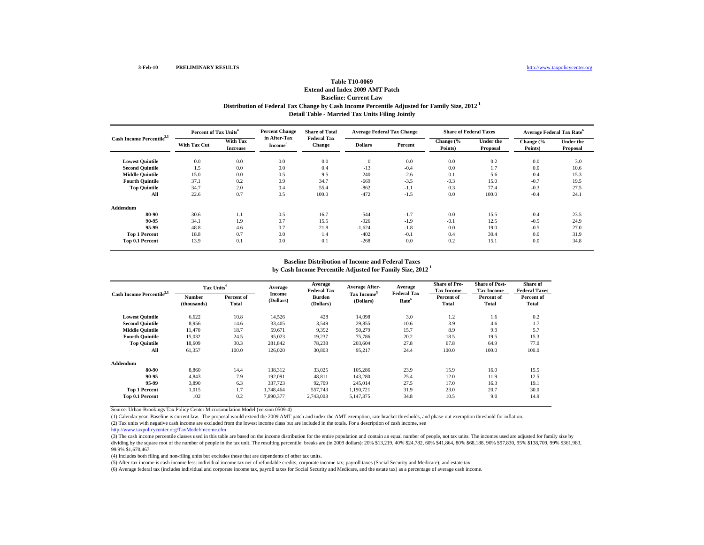## **Table T10-0069**

### **Distribution of Federal Tax Change by Cash Income Percentile Adjusted for Family Size, 2012 1 Detail Table - Married Tax Units Filing Jointly Extend and Index 2009 AMT PatchBaseline: Current Law**

| Cash Income Percentile <sup>2,3</sup> | Percent of Tax Units <sup>4</sup> |                                    | <b>Percent Change</b>               | <b>Share of Total</b>        | <b>Average Federal Tax Change</b> |         | <b>Share of Federal Taxes</b> |                       | <b>Average Federal Tax Rate<sup>6</sup></b> |                       |
|---------------------------------------|-----------------------------------|------------------------------------|-------------------------------------|------------------------------|-----------------------------------|---------|-------------------------------|-----------------------|---------------------------------------------|-----------------------|
|                                       | <b>With Tax Cut</b>               | <b>With Tax</b><br><b>Increase</b> | in After-Tax<br>Income <sup>5</sup> | <b>Federal Tax</b><br>Change | <b>Dollars</b>                    | Percent | Change (%<br>Points)          | Under the<br>Proposal | Change (%<br>Points)                        | Under the<br>Proposal |
| <b>Lowest Quintile</b>                | 0.0                               | 0.0                                | 0.0                                 | 0.0                          | $\mathbf{0}$                      | 0.0     | 0.0                           | 0.2                   | 0.0                                         | 3.0                   |
| <b>Second Quintile</b>                | 1.5                               | 0.0                                | 0.0                                 | 0.4                          | $-13$                             | $-0.4$  | 0.0                           | 1.7                   | 0.0                                         | 10.6                  |
| <b>Middle Quintile</b>                | 15.0                              | 0.0                                | 0.5                                 | 9.5                          | $-240$                            | $-2.6$  | $-0.1$                        | 5.6                   | $-0.4$                                      | 15.3                  |
| <b>Fourth Quintile</b>                | 37.1                              | 0.2                                | 0.9                                 | 34.7                         | $-669$                            | $-3.5$  | $-0.3$                        | 15.0                  | $-0.7$                                      | 19.5                  |
| <b>Top Quintile</b>                   | 34.7                              | 2.0                                | 0.4                                 | 55.4                         | $-862$                            | $-1.1$  | 0.3                           | 77.4                  | $-0.3$                                      | 27.5                  |
| All                                   | 22.6                              | 0.7                                | 0.5                                 | 100.0                        | $-472$                            | $-1.5$  | 0.0                           | 100.0                 | $-0.4$                                      | 24.1                  |
| Addendum                              |                                   |                                    |                                     |                              |                                   |         |                               |                       |                                             |                       |
| 80-90                                 | 30.6                              | 1.1                                | 0.5                                 | 16.7                         | $-544$                            | $-1.7$  | 0.0                           | 15.5                  | $-0.4$                                      | 23.5                  |
| 90-95                                 | 34.1                              | 1.9                                | 0.7                                 | 15.5                         | $-926$                            | $-1.9$  | $-0.1$                        | 12.5                  | $-0.5$                                      | 24.9                  |
| 95-99                                 | 48.8                              | 4.6                                | 0.7                                 | 21.8                         | $-1,624$                          | $-1.8$  | 0.0                           | 19.0                  | $-0.5$                                      | 27.0                  |
| <b>Top 1 Percent</b>                  | 18.8                              | 0.7                                | 0.0                                 | 1.4                          | $-402$                            | $-0.1$  | 0.4                           | 30.4                  | 0.0                                         | 31.9                  |
| Top 0.1 Percent                       | 13.9                              | 0.1                                | 0.0                                 | 0.1                          | $-268$                            | 0.0     | 0.2                           | 15.1                  | 0.0                                         | 34.8                  |

### **by Cash Income Percentile Adjusted for Family Size, 2012 1 Baseline Distribution of Income and Federal Taxes**

| Cash Income Percentile <sup>2,3</sup> | Tax Units <sup>4</sup> |                     | Average                    | Average<br><b>Federal Tax</b> | <b>Average After-</b>                | Average<br><b>Federal Tax</b> | <b>Share of Pre-</b><br><b>Tax Income</b> | <b>Share of Post-</b><br><b>Tax Income</b> | Share of<br><b>Federal Taxes</b> |
|---------------------------------------|------------------------|---------------------|----------------------------|-------------------------------|--------------------------------------|-------------------------------|-------------------------------------------|--------------------------------------------|----------------------------------|
|                                       | Number<br>(thousands)  | Percent of<br>Total | <b>Income</b><br>(Dollars) | <b>Burden</b><br>(Dollars)    | Tax Income <sup>5</sup><br>(Dollars) | Rate <sup>6</sup>             | Percent of<br>Total                       | Percent of<br>Total                        | Percent of<br>Total              |
| <b>Lowest Quintile</b>                | 6,622                  | 10.8                | 14,526                     | 428                           | 14.098                               | 3.0                           | 1.2                                       | 1.6                                        | 0.2                              |
| <b>Second Quintile</b>                | 8,956                  | 14.6                | 33,405                     | 3,549                         | 29,855                               | 10.6                          | 3.9                                       | 4.6                                        | 1.7                              |
| <b>Middle Quintile</b>                | 11.470                 | 18.7                | 59,671                     | 9,392                         | 50,279                               | 15.7                          | 8.9                                       | 9.9                                        | 5.7                              |
| <b>Fourth Quintile</b>                | 15,032                 | 24.5                | 95,023                     | 19,237                        | 75,786                               | 20.2                          | 18.5                                      | 19.5                                       | 15.3                             |
| <b>Top Quintile</b>                   | 18,609                 | 30.3                | 281,842                    | 78.238                        | 203.604                              | 27.8                          | 67.8                                      | 64.9                                       | 77.0                             |
| All                                   | 61,357                 | 100.0               | 126,020                    | 30,803                        | 95,217                               | 24.4                          | 100.0                                     | 100.0                                      | 100.0                            |
| Addendum                              |                        |                     |                            |                               |                                      |                               |                                           |                                            |                                  |
| 80-90                                 | 8.860                  | 14.4                | 138,312                    | 33,025                        | 105.286                              | 23.9                          | 15.9                                      | 16.0                                       | 15.5                             |
| 90-95                                 | 4,843                  | 7.9                 | 192,091                    | 48,811                        | 143,280                              | 25.4                          | 12.0                                      | 11.9                                       | 12.5                             |
| 95-99                                 | 3.890                  | 6.3                 | 337,723                    | 92.709                        | 245.014                              | 27.5                          | 17.0                                      | 16.3                                       | 19.1                             |
| <b>Top 1 Percent</b>                  | 1,015                  | 1.7                 | 1,748,464                  | 557,743                       | 1.190.721                            | 31.9                          | 23.0                                      | 20.7                                       | 30.0                             |
| Top 0.1 Percent                       | 102                    | 0.2                 | 7,890,377                  | 2,743,003                     | 5,147,375                            | 34.8                          | 10.5                                      | 9.0                                        | 14.9                             |

Source: Urban-Brookings Tax Policy Center Microsimulation Model (version 0509-4)

(2) Tax units with negative cash income are excluded from the lowest income class but are included in the totals. For a description of cash income, see (1) Calendar year. Baseline is current law. The proposal would extend the 2009 AMT patch and index the AMT exemption, rate bracket thresholds, and phase-out exemption threshold for inflation.

http://www.taxpolicycenter.org/TaxModel/income.cfm

(3) The cash income percentile classes used in this table are based on the income distribution for the entire population and contain an equal number of people, not tax units. The incomes used are adjusted for family size b dividing by the square root of the number of people in the tax unit. The resulting percentile breaks are (in 2009 dollars): 20% \$13,219, 40% \$24,782, 60% \$41,864, 80% \$68,188, 90% \$97,830, 95% \$13,709, 99% \$361,983, 99.9% \$1,670,467.

(4) Includes both filing and non-filing units but excludes those that are dependents of other tax units.

(5) After-tax income is cash income less: individual income tax net of refundable credits; corporate income tax; payroll taxes (Social Security and Medicare); and estate tax.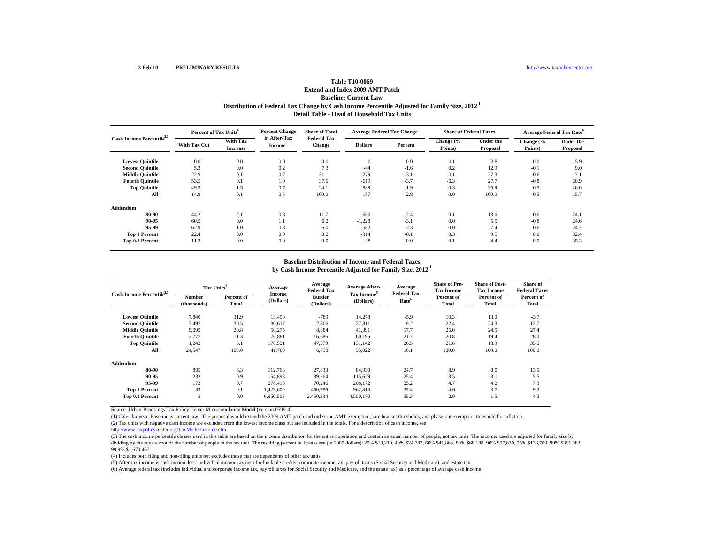## **Table T10-0069**

## **Distribution of Federal Tax Change by Cash Income Percentile Adjusted for Family Size, 2012 1 Detail Table - Head of Household Tax Units Extend and Index 2009 AMT PatchBaseline: Current Law**

| Cash Income Percentile <sup>2,3</sup> | Percent of Tax Units <sup>4</sup> |                                    | <b>Percent Change</b>               | <b>Share of Total</b>        | <b>Average Federal Tax Change</b> |         | <b>Share of Federal Taxes</b> |                              | <b>Average Federal Tax Rate<sup>6</sup></b> |                              |
|---------------------------------------|-----------------------------------|------------------------------------|-------------------------------------|------------------------------|-----------------------------------|---------|-------------------------------|------------------------------|---------------------------------------------|------------------------------|
|                                       | <b>With Tax Cut</b>               | <b>With Tax</b><br><b>Increase</b> | in After-Tax<br>Income <sup>5</sup> | <b>Federal Tax</b><br>Change | <b>Dollars</b>                    | Percent | Change (%<br>Points)          | <b>Under the</b><br>Proposal | Change (%<br>Points)                        | <b>Under the</b><br>Proposal |
| <b>Lowest Quintile</b>                | 0.0                               | 0.0                                | 0.0                                 | 0.0                          | $\mathbf{0}$                      | 0.0     | $-0.1$                        | $-3.8$                       | 0.0                                         | $-5.9$                       |
| <b>Second Quintile</b>                | 5.3                               | 0.0                                | 0.2                                 | 7.3                          | $-44$                             | $-1.6$  | 0.2                           | 12.9                         | $-0.1$                                      | 9.0                          |
| <b>Middle Quintile</b>                | 22.9                              | 0.1                                | 0.7                                 | 31.1                         | $-279$                            | $-3.1$  | $-0.1$                        | 27.3                         | $-0.6$                                      | 17.1                         |
| <b>Fourth Quintile</b>                | 53.5                              | 0.1                                | 1.0                                 | 37.6                         | $-619$                            | $-3.7$  | $-0.3$                        | 27.7                         | $-0.8$                                      | 20.9                         |
| <b>Top Quintile</b>                   | 49.3                              | 1.5                                | 0.7                                 | 24.1                         | $-889$                            | $-1.9$  | 0.3                           | 35.9                         | $-0.5$                                      | 26.0                         |
| All                                   | 14.9                              | 0.1                                | 0.5                                 | 100.0                        | $-187$                            | $-2.8$  | 0.0                           | 100.0                        | $-0.5$                                      | 15.7                         |
| Addendum                              |                                   |                                    |                                     |                              |                                   |         |                               |                              |                                             |                              |
| 80-90                                 | 44.2                              | 2.1                                | 0.8                                 | 11.7                         | $-666$                            | $-2.4$  | 0.1                           | 13.6                         | $-0.6$                                      | 24.1                         |
| 90-95                                 | 60.5                              | 0.0                                | 1.1                                 | 6.2                          | $-1,228$                          | $-3.1$  | 0.0                           | 5.5                          | $-0.8$                                      | 24.6                         |
| 95-99                                 | 62.9                              | 1.0                                | 0.8                                 | 6.0                          | $-1,582$                          | $-2.3$  | 0.0                           | 7.4                          | $-0.6$                                      | 24.7                         |
| <b>Top 1 Percent</b>                  | 22.4                              | 0.0                                | 0.0                                 | 0.2                          | $-314$                            | $-0.1$  | 0.3                           | 9.5                          | 0.0                                         | 32.4                         |
| Top 0.1 Percent                       | 11.3                              | 0.0                                | 0.0                                 | 0.0                          | $-28$                             | 0.0     | 0.1                           | 4.4                          | 0.0                                         | 35.3                         |

### **by Cash Income Percentile Adjusted for Family Size, 2012 1 Baseline Distribution of Income and Federal Taxes**

| Cash Income Percentile <sup>2,3</sup> | Tax Units <sup>4</sup> |                            | Average             | Average<br><b>Federal Tax</b> | <b>Average After-</b>                | Average<br><b>Federal Tax</b> | <b>Share of Pre-</b><br><b>Tax Income</b> | <b>Share of Post-</b><br><b>Tax Income</b> | Share of<br><b>Federal Taxes</b> |
|---------------------------------------|------------------------|----------------------------|---------------------|-------------------------------|--------------------------------------|-------------------------------|-------------------------------------------|--------------------------------------------|----------------------------------|
|                                       | Number<br>(thousands)  | Percent of<br><b>Total</b> | Income<br>(Dollars) | Burden<br>(Dollars)           | Tax Income <sup>5</sup><br>(Dollars) | Rate <sup>6</sup>             | Percent of<br>Total                       | Percent of<br>Total                        | Percent of<br>Total              |
| <b>Lowest Quintile</b>                | 7,840                  | 31.9                       | 13,490              | $-789$                        | 14,278                               | $-5.9$                        | 10.3                                      | 13.0                                       | $-3.7$                           |
| <b>Second Ouintile</b>                | 7,497                  | 30.5                       | 30,617              | 2,806                         | 27,811                               | 9.2                           | 22.4                                      | 24.3                                       | 12.7                             |
| <b>Middle Quintile</b>                | 5,095                  | 20.8                       | 50,275              | 8,884                         | 41,391                               | 17.7                          | 25.0                                      | 24.5                                       | 27.4                             |
| <b>Fourth Ouintile</b>                | 2.777                  | 11.3                       | 76,881              | 16,686                        | 60.195                               | 21.7                          | 20.8                                      | 19.4                                       | 28.0                             |
| <b>Top Quintile</b>                   | 1,242                  | 5.1                        | 178,521             | 47,379                        | 131,142                              | 26.5                          | 21.6                                      | 18.9                                       | 35.6                             |
| All                                   | 24,547                 | 100.0                      | 41,760              | 6,738                         | 35,022                               | 16.1                          | 100.0                                     | 100.0                                      | 100.0                            |
| Addendum                              |                        |                            |                     |                               |                                      |                               |                                           |                                            |                                  |
| 80-90                                 | 805                    | 3.3                        | 112,763             | 27,833                        | 84,930                               | 24.7                          | 8.9                                       | 8.0                                        | 13.5                             |
| 90-95                                 | 232                    | 0.9                        | 154,893             | 39,264                        | 115.629                              | 25.4                          | 3.5                                       | 3.1                                        | 5.5                              |
| 95-99                                 | 173                    | 0.7                        | 278,418             | 70,246                        | 208,172                              | 25.2                          | 4.7                                       | 4.2                                        | 7.3                              |
| <b>Top 1 Percent</b>                  | 33                     | 0.1                        | 1,423,600           | 460,786                       | 962,813                              | 32.4                          | 4.6                                       | 3.7                                        | 9.2                              |
| Top 0.1 Percent                       | 3                      | 0.0                        | 6,950,503           | 2,450,334                     | 4,500,170                            | 35.3                          | 2.0                                       | 1.5                                        | 4.3                              |

Source: Urban-Brookings Tax Policy Center Microsimulation Model (version 0509-4)

(2) Tax units with negative cash income are excluded from the lowest income class but are included in the totals. For a description of cash income, see (1) Calendar year. Baseline is current law. The proposal would extend the 2009 AMT patch and index the AMT exemption, rate bracket thresholds, and phase-out exemption threshold for inflation.

http://www.taxpolicycenter.org/TaxModel/income.cfm

(3) The cash income percentile classes used in this table are based on the income distribution for the entire population and contain an equal number of people, not tax units. The incomes used are adjusted for family size b dividing by the square root of the number of people in the tax unit. The resulting percentile breaks are (in 2009 dollars): 20% \$13,219, 40% \$24,782, 60% \$41,864, 80% \$68,188, 90% \$97,830, 95% \$13,709, 99% \$361,983, 99.9% \$1,670,467.

(4) Includes both filing and non-filing units but excludes those that are dependents of other tax units.

(5) After-tax income is cash income less: individual income tax net of refundable credits; corporate income tax; payroll taxes (Social Security and Medicare); and estate tax.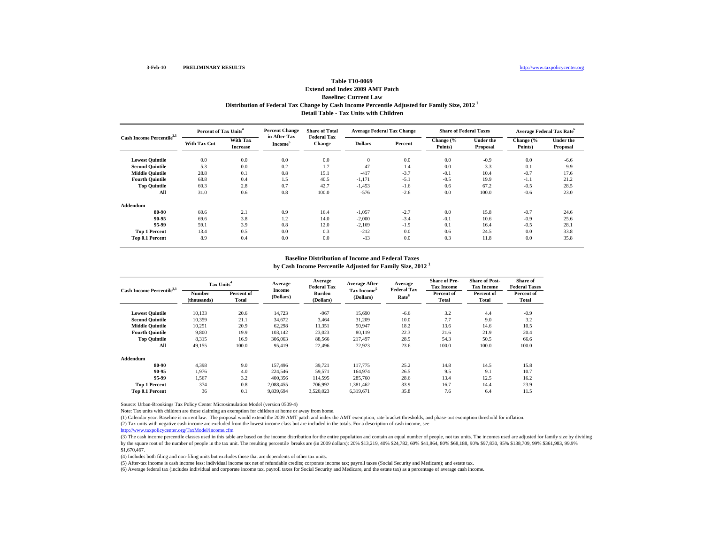## **Distribution of Federal Tax Change by Cash Income Percentile Adjusted for Family Size, 2012 1 Table T10-0069Extend and Index 2009 AMT PatchBaseline: Current Law**

**Detail Table - Tax Units with Children**

| Cash Income Percentile <sup>2,3</sup> |                     | Percent of Tax Units <sup>4</sup> |                                     | <b>Share of Total</b>               | <b>Average Federal Tax Change</b> |         | <b>Share of Federal Taxes</b> |                       | <b>Average Federal Tax Rate</b> <sup>6</sup> |                              |
|---------------------------------------|---------------------|-----------------------------------|-------------------------------------|-------------------------------------|-----------------------------------|---------|-------------------------------|-----------------------|----------------------------------------------|------------------------------|
|                                       | <b>With Tax Cut</b> | With Tax<br><b>Increase</b>       | in After-Tax<br>Income <sup>5</sup> | <b>Federal Tax</b><br><b>Change</b> | <b>Dollars</b>                    | Percent | Change (%<br>Points)          | Under the<br>Proposal | Change (%<br>Points)                         | <b>Under the</b><br>Proposal |
| <b>Lowest Quintile</b>                | 0.0                 | 0.0                               | 0.0                                 | 0.0                                 | $\mathbf{0}$                      | 0.0     | 0.0                           | $-0.9$                | 0.0                                          | $-6.6$                       |
| <b>Second Quintile</b>                | 5.3                 | 0.0                               | 0.2                                 | 1.7                                 | $-47$                             | $-1.4$  | 0.0                           | 3.3                   | $-0.1$                                       | 9.9                          |
| <b>Middle Quintile</b>                | 28.8                | 0.1                               | 0.8                                 | 15.1                                | $-417$                            | $-3.7$  | $-0.1$                        | 10.4                  | $-0.7$                                       | 17.6                         |
| <b>Fourth Quintile</b>                | 68.8                | 0.4                               | 1.5                                 | 40.5                                | $-1,171$                          | $-5.1$  | $-0.5$                        | 19.9                  | $-1.1$                                       | 21.2                         |
| <b>Top Quintile</b>                   | 60.3                | 2.8                               | 0.7                                 | 42.7                                | $-1,453$                          | $-1.6$  | 0.6                           | 67.2                  | $-0.5$                                       | 28.5                         |
| All                                   | 31.0                | 0.6                               | 0.8                                 | 100.0                               | $-576$                            | $-2.6$  | 0.0                           | 100.0                 | $-0.6$                                       | 23.0                         |
| Addendum                              |                     |                                   |                                     |                                     |                                   |         |                               |                       |                                              |                              |
| 80-90                                 | 60.6                | 2.1                               | 0.9                                 | 16.4                                | $-1,057$                          | $-2.7$  | 0.0                           | 15.8                  | $-0.7$                                       | 24.6                         |
| 90-95                                 | 69.6                | 3.8                               | 1.2                                 | 14.0                                | $-2,000$                          | $-3.4$  | $-0.1$                        | 10.6                  | $-0.9$                                       | 25.6                         |
| 95-99                                 | 59.1                | 3.9                               | 0.8                                 | 12.0                                | $-2,169$                          | $-1.9$  | 0.1                           | 16.4                  | $-0.5$                                       | 28.1                         |
| <b>Top 1 Percent</b>                  | 13.4                | 0.5                               | 0.0                                 | 0.3                                 | $-212$                            | 0.0     | 0.6                           | 24.5                  | 0.0                                          | 33.8                         |
| Top 0.1 Percent                       | 8.9                 | 0.4                               | 0.0                                 | 0.0                                 | $-13$                             | 0.0     | 0.3                           | 11.8                  | 0.0                                          | 35.8                         |

### **Baseline Distribution of Income and Federal Taxes**

**by Cash Income Percentile Adjusted for Family Size, 2012 <sup>1</sup>**

| Cash Income Percentile <sup>2,3</sup> | Tax Units <sup>4</sup> |                     | Average             | Average<br><b>Federal Tax</b> | Average After-                       | Average                                 | <b>Share of Pre-</b><br><b>Tax Income</b> | <b>Share of Post-</b><br><b>Tax Income</b> | Share of<br><b>Federal Taxes</b> |
|---------------------------------------|------------------------|---------------------|---------------------|-------------------------------|--------------------------------------|-----------------------------------------|-------------------------------------------|--------------------------------------------|----------------------------------|
|                                       | Number<br>(thousands)  | Percent of<br>Total | Income<br>(Dollars) | Burden<br>(Dollars)           | Tax Income <sup>5</sup><br>(Dollars) | <b>Federal Tax</b><br>Rate <sup>6</sup> | Percent of<br>Total                       | Percent of<br>Total                        | Percent of<br>Total              |
| <b>Lowest Quintile</b>                | 10.133                 | 20.6                | 14.723              | $-967$                        | 15.690                               | $-6.6$                                  | 3.2                                       | 4.4                                        | $-0.9$                           |
| <b>Second Quintile</b>                | 10,359                 | 21.1                | 34,672              | 3,464                         | 31,209                               | 10.0                                    | 7.7                                       | 9.0                                        | 3.2                              |
| <b>Middle Quintile</b>                | 10.251                 | 20.9                | 62,298              | 11,351                        | 50.947                               | 18.2                                    | 13.6                                      | 14.6                                       | 10.5                             |
| <b>Fourth Quintile</b>                | 9,800                  | 19.9                | 103.142             | 23,023                        | 80.119                               | 22.3                                    | 21.6                                      | 21.9                                       | 20.4                             |
| <b>Top Quintile</b>                   | 8.315                  | 16.9                | 306,063             | 88,566                        | 217.497                              | 28.9                                    | 54.3                                      | 50.5                                       | 66.6                             |
| All                                   | 49,155                 | 100.0               | 95,419              | 22,496                        | 72,923                               | 23.6                                    | 100.0                                     | 100.0                                      | 100.0                            |
| Addendum                              |                        |                     |                     |                               |                                      |                                         |                                           |                                            |                                  |
| 80-90                                 | 4,398                  | 9.0                 | 157.496             | 39,721                        | 117,775                              | 25.2                                    | 14.8                                      | 14.5                                       | 15.8                             |
| 90-95                                 | 1.976                  | 4.0                 | 224,546             | 59,571                        | 164,974                              | 26.5                                    | 9.5                                       | 9.1                                        | 10.7                             |
| 95-99                                 | 1,567                  | 3.2                 | 400,356             | 114,595                       | 285,760                              | 28.6                                    | 13.4                                      | 12.5                                       | 16.2                             |
| <b>Top 1 Percent</b>                  | 374                    | 0.8                 | 2,088,455           | 706,992                       | 1,381,462                            | 33.9                                    | 16.7                                      | 14.4                                       | 23.9                             |
| Top 0.1 Percent                       | 36                     | 0.1                 | 9.839.694           | 3,520,023                     | 6.319.671                            | 35.8                                    | 7.6                                       | 6.4                                        | 11.5                             |

Source: Urban-Brookings Tax Policy Center Microsimulation Model (version 0509-4)

Note: Tax units with children are those claiming an exemption for children at home or away from home.

(1) Calendar year. Baseline is current law. The proposal would extend the 2009 AMT patch and index the AMT exemption, rate bracket thresholds, and phase-out exemption threshold for inflation.

(2) Tax units with negative cash income are excluded from the lowest income class but are included in the totals. For a description of cash income, see

http://www.taxpolicycenter.org/TaxModel/income.cfm

(3) The cash income percentile classes used in this table are based on the income distribution for the entire population and contain an equal number of people, not tax units. The incomes used are adjusted for family size b by the square root of the number of people in the tax unit. The resulting percentile breaks are (in 2009 dollars): 20% \$13,219, 40% \$24,782, 60% \$41,864, 80% \$68,188, 90% \$97,830, 95% \$138,709, 99% \$361,983, 99.9% \$1,670,467.

(4) Includes both filing and non-filing units but excludes those that are dependents of other tax units.

(5) After-tax income is cash income less: individual income tax net of refundable credits; corporate income tax; payroll taxes (Social Security and Medicare); and estate tax.